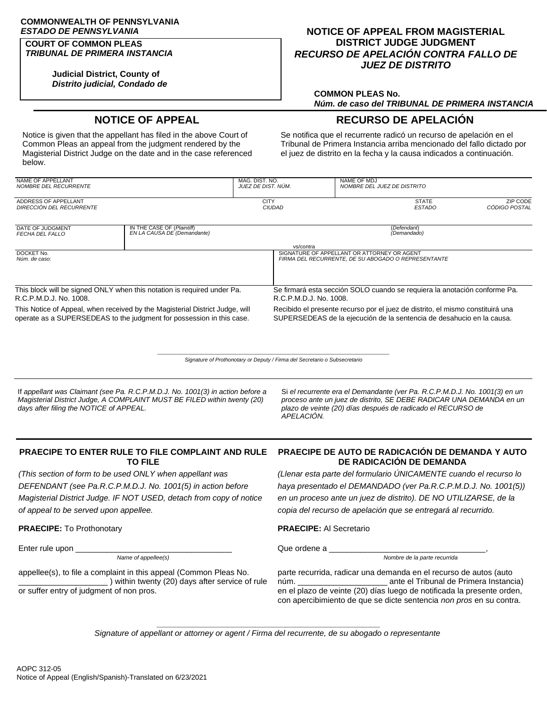# **COMMONWEALTH OF PENNSYLVANIA**

#### **COURT OF COMMON PLEAS** *TRIBUNAL DE PRIMERA INSTANCIA*

**Judicial District, County of** *Distrito judicial, Condado de*

### *ESTADO DE PENNSYLVANIA* **NOTICE OF APPEAL FROM MAGISTERIAL DISTRICT JUDGE JUDGMENT** *RECURSO DE APELACIÓN CONTRA FALLO DE JUEZ DE DISTRITO*

#### **COMMON PLEAS No.** *Núm. de caso del TRIBUNAL DE PRIMERA INSTANCIA*

## **NOTICE OF APPEAL RECURSO DE APELACIÓN**

Notice is given that the appellant has filed in the above Court of Common Pleas an appeal from the judgment rendered by the Magisterial District Judge on the date and in the case referenced below.

Se notifica que el recurrente radicó un recurso de apelación en el Tribunal de Primera Instancia arriba mencionado del fallo dictado por el juez de distrito en la fecha y la causa indicados a continuación.

| NAME OF APPELLANT<br>NOMBRE DEL RECURRENTE                                                        |                                                                                                                                                       | MAG. DIST. NO.<br>JUEZ DE DIST. NÚM. | NAME OF MDJ<br>NOMBRE DEL JUEZ DE DISTRITO                                                                                                              |                           |  |
|---------------------------------------------------------------------------------------------------|-------------------------------------------------------------------------------------------------------------------------------------------------------|--------------------------------------|---------------------------------------------------------------------------------------------------------------------------------------------------------|---------------------------|--|
| ADDRESS OF APPELLANT<br><b>DIRECCIÓN DEL RECURRENTE</b>                                           |                                                                                                                                                       | <b>CITY</b><br>CIUDAD                | <b>STATE</b><br><b>ESTADO</b>                                                                                                                           | ZIP CODE<br>CÓDIGO POSTAL |  |
| DATE OF JUDGMENT<br><b>FECHA DEL FALLO</b>                                                        | IN THE CASE OF (Plaintiff)<br>EN LA CAUSA DE (Demandante)                                                                                             |                                      | (Defendant)<br>(Demandado)                                                                                                                              |                           |  |
|                                                                                                   | vs/contra                                                                                                                                             |                                      |                                                                                                                                                         |                           |  |
| DOCKET No.<br>Núm, de caso:                                                                       |                                                                                                                                                       |                                      | SIGNATURE OF APPELLANT OR ATTORNEY OR AGENT<br>FIRMA DEL RECURRENTE, DE SU ABOGADO O REPRESENTANTE                                                      |                           |  |
| This block will be signed ONLY when this notation is required under Pa.<br>R.C.P.M.D.J. No. 1008. |                                                                                                                                                       |                                      | Se firmará esta sección SOLO cuando se requiera la anotación conforme Pa.<br>R.C.P.M.D.J. No. 1008.                                                     |                           |  |
|                                                                                                   | This Notice of Appeal, when received by the Magisterial District Judge, will<br>operate as a SUPERSEDEAS to the judgment for possession in this case. |                                      | Recibido el presente recurso por el juez de distrito, el mismo constituirá una<br>SUPERSEDEAS de la ejecución de la sentencia de desahucio en la causa. |                           |  |

 $\_$  , and the set of the set of the set of the set of the set of the set of the set of the set of the set of the set of the set of the set of the set of the set of the set of the set of the set of the set of the set of th *Signature of Prothonotary or Deputy / Firma del Secretario o Subsecretario*

If *appellant was Claimant (see Pa. R.C.P.M.D.J. No. 1001(3) in action before a Magisterial District Judge, A COMPLAINT MUST BE FILED within twenty (20) days after filing the NOTICE of APPEAL.*

Si *el recurrente era el Demandante (ver Pa. R.C.P.M.D.J. No. 1001(3) en un proceso ante un juez de distrito, SE DEBE RADICAR UNA DEMANDA en un plazo de veinte (20) días después de radicado el RECURSO de APELACIÓN.*

#### **PRAECIPE TO ENTER RULE TO FILE COMPLAINT AND RULE TO FILE**

*(This section of form to be used ONLY when appellant was DEFENDANT (see Pa.R.C.P.M.D.J. No. 1001(5) in action before Magisterial District Judge. IF NOT USED, detach from copy of notice of appeal to be served upon appellee.*

#### **PRAECIPE:** To Prothonotary **PRAECIPE:** Al Secretario

Enter rule upon the contract of the contract of the contract of the contract of  $Q$ ue ordene a  $Q$ ue ordene a  $Q$ ue ordene a  $Q$ ue ordene a  $Q$ ue ordene a  $Q$ ue ordene a  $Q$ ue ordene a  $Q$ ue ordene a  $Q$ ue ordene a  $Q$ ue o

appellee(s), to file a complaint in this appeal (Common Pleas No. \_\_\_\_\_\_\_\_\_\_\_\_\_\_\_\_\_\_\_\_ ) within twenty (20) days after service of rule or suffer entry of judgment of non pros.

#### **PRAECIPE DE AUTO DE RADICACIÓN DE DEMANDA Y AUTO DE RADICACIÓN DE DEMANDA**

*(Llenar esta parte del formulario ÚNICAMENTE cuando el recurso lo haya presentado el DEMANDADO (ver Pa.R.C.P.M.D.J. No. 1001(5)) en un proceso ante un juez de distrito). DE NO UTILIZARSE, de la copia del recurso de apelación que se entregará al recurrido.*

*Name of appellee(s) Nombre de la parte recurrida*

parte recurrida, radicar una demanda en el recurso de autos (auto núm. \_\_\_\_\_\_\_\_\_\_\_\_\_\_\_\_\_\_\_\_ ante el Tribunal de Primera Instancia) en el plazo de veinte (20) días luego de notificada la presente orden, con apercibimiento de que se dicte sentencia *non pros* en su contra.

**\_\_\_\_\_\_\_\_\_\_\_\_\_\_\_\_\_\_\_\_\_\_\_\_\_\_\_\_\_\_\_\_\_\_\_\_\_\_\_\_\_\_\_\_\_\_\_\_\_\_** *Signature of appellant or attorney or agent / Firma del recurrente, de su abogado o representante*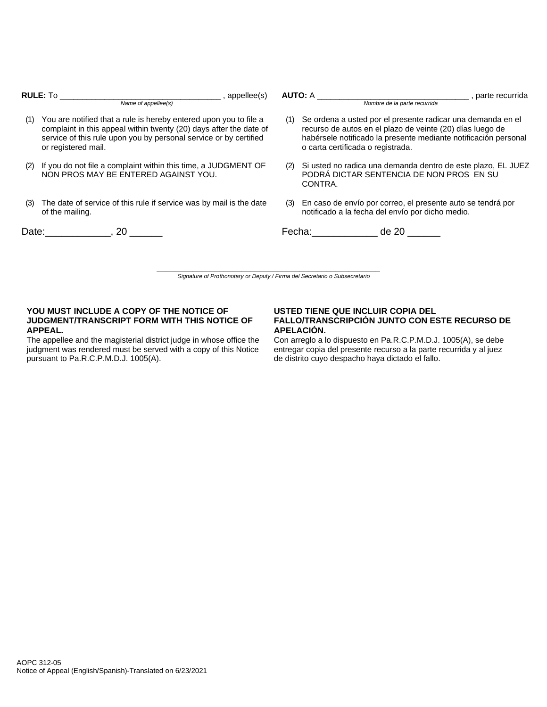|     | $\_$ , appellee(s)<br>Name of appellee(s)                                                                                                                                                                                           |     | <b>AUTO:</b> A<br>__, parte recurrida<br>Nombre de la parte recurrida                                                                                                                                                                   |
|-----|-------------------------------------------------------------------------------------------------------------------------------------------------------------------------------------------------------------------------------------|-----|-----------------------------------------------------------------------------------------------------------------------------------------------------------------------------------------------------------------------------------------|
| (1) | You are notified that a rule is hereby entered upon you to file a<br>complaint in this appeal within twenty (20) days after the date of<br>service of this rule upon you by personal service or by certified<br>or registered mail. | (1) | Se ordena a usted por el presente radicar una demanda en el<br>recurso de autos en el plazo de veinte (20) días luego de<br>habérsele notificado la presente mediante notificación personal<br>o carta certificada o registrada.        |
| (2) | If you do not file a complaint within this time, a JUDGMENT OF<br>NON PROS MAY BE ENTERED AGAINST YOU.                                                                                                                              | (2) | Si usted no radica una demanda dentro de este plazo, EL JUEZ<br>PODRÁ DICTAR SENTENCIA DE NON PROS EN SU<br>CONTRA.                                                                                                                     |
| (3) | The date of service of this rule if service was by mail is the date<br>of the mailing.                                                                                                                                              | (3) | En caso de envío por correo, el presente auto se tendrá por<br>notificado a la fecha del envío por dicho medio.                                                                                                                         |
|     | Date: 20                                                                                                                                                                                                                            |     | de 20<br>Fecha: The contract of the contract of the contract of the contract of the contract of the contract of the contract of the contract of the contract of the contract of the contract of the contract of the contract of the con |
|     | Signature of Prothonotary or Deputy / Firma del Secretario o Subsecretario                                                                                                                                                          |     |                                                                                                                                                                                                                                         |

#### **YOU MUST INCLUDE A COPY OF THE NOTICE OF JUDGMENT/TRANSCRIPT FORM WITH THIS NOTICE OF APPEAL.**

The appellee and the magisterial district judge in whose office the judgment was rendered must be served with a copy of this Notice pursuant to Pa.R.C.P.M.D.J. 1005(A).

#### **USTED TIENE QUE INCLUIR COPIA DEL FALLO/TRANSCRIPCIÓN JUNTO CON ESTE RECURSO DE APELACIÓN.**

Con arreglo a lo dispuesto en Pa.R.C.P.M.D.J. 1005(A), se debe entregar copia del presente recurso a la parte recurrida y al juez de distrito cuyo despacho haya dictado el fallo.